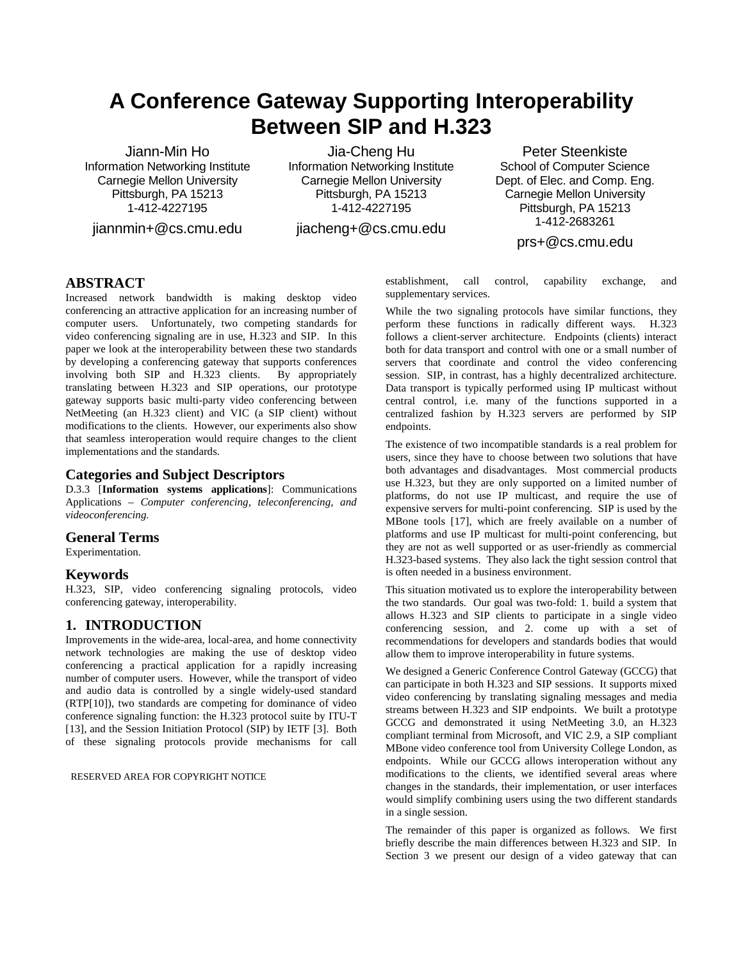# **A Conference Gateway Supporting Interoperability Between SIP and H.323**

Jiann-Min Ho Information Networking Institute Carnegie Mellon University Pittsburgh, PA 15213 1-412-4227195

jiannmin+@cs.cmu.edu

Jia-Cheng Hu Information Networking Institute Carnegie Mellon University Pittsburgh, PA 15213 1-412-4227195

jiacheng+@cs.cmu.edu

Peter Steenkiste School of Computer Science Dept. of Elec. and Comp. Eng. Carnegie Mellon University Pittsburgh, PA 15213 1-412-2683261

prs+@cs.cmu.edu

# **ABSTRACT**

Increased network bandwidth is making desktop video conferencing an attractive application for an increasing number of computer users. Unfortunately, two competing standards for video conferencing signaling are in use, H.323 and SIP. In this paper we look at the interoperability between these two standards by developing a conferencing gateway that supports conferences involving both SIP and H.323 clients. By appropriately translating between H.323 and SIP operations, our prototype gateway supports basic multi-party video conferencing between NetMeeting (an H.323 client) and VIC (a SIP client) without modifications to the clients. However, our experiments also show that seamless interoperation would require changes to the client implementations and the standards.

# **Categories and Subject Descriptors**

D.3.3 [**Information systems applications**]: Communications Applications – *Computer conferencing, teleconferencing, and videoconferencing.*

### **General Terms**

Experimentation.

# **Keywords**

H.323, SIP, video conferencing signaling protocols, video conferencing gateway, interoperability.

# **1. INTRODUCTION**

Improvements in the wide-area, local-area, and home connectivity network technologies are making the use of desktop video conferencing a practical application for a rapidly increasing number of computer users. However, while the transport of video and audio data is controlled by a single widely-used standard (RTP[10]), two standards are competing for dominance of video conference signaling function: the H.323 protocol suite by ITU-T [13], and the Session Initiation Protocol (SIP) by IETF [3]. Both of these signaling protocols provide mechanisms for call

RESERVED AREA FOR COPYRIGHT NOTICE

establishment, call control, capability exchange, and supplementary services.

While the two signaling protocols have similar functions, they perform these functions in radically different ways. H.323 follows a client-server architecture. Endpoints (clients) interact both for data transport and control with one or a small number of servers that coordinate and control the video conferencing session. SIP, in contrast, has a highly decentralized architecture. Data transport is typically performed using IP multicast without central control, i.e. many of the functions supported in a centralized fashion by H.323 servers are performed by SIP endpoints.

The existence of two incompatible standards is a real problem for users, since they have to choose between two solutions that have both advantages and disadvantages. Most commercial products use H.323, but they are only supported on a limited number of platforms, do not use IP multicast, and require the use of expensive servers for multi-point conferencing. SIP is used by the MBone tools [17], which are freely available on a number of platforms and use IP multicast for multi-point conferencing, but they are not as well supported or as user-friendly as commercial H.323-based systems. They also lack the tight session control that is often needed in a business environment.

This situation motivated us to explore the interoperability between the two standards. Our goal was two-fold: 1. build a system that allows H.323 and SIP clients to participate in a single video conferencing session, and 2. come up with a set of recommendations for developers and standards bodies that would allow them to improve interoperability in future systems.

We designed a Generic Conference Control Gateway (GCCG) that can participate in both H.323 and SIP sessions. It supports mixed video conferencing by translating signaling messages and media streams between H.323 and SIP endpoints. We built a prototype GCCG and demonstrated it using NetMeeting 3.0, an H.323 compliant terminal from Microsoft, and VIC 2.9, a SIP compliant MBone video conference tool from University College London, as endpoints. While our GCCG allows interoperation without any modifications to the clients, we identified several areas where changes in the standards, their implementation, or user interfaces would simplify combining users using the two different standards in a single session.

The remainder of this paper is organized as follows. We first briefly describe the main differences between H.323 and SIP. In Section 3 we present our design of a video gateway that can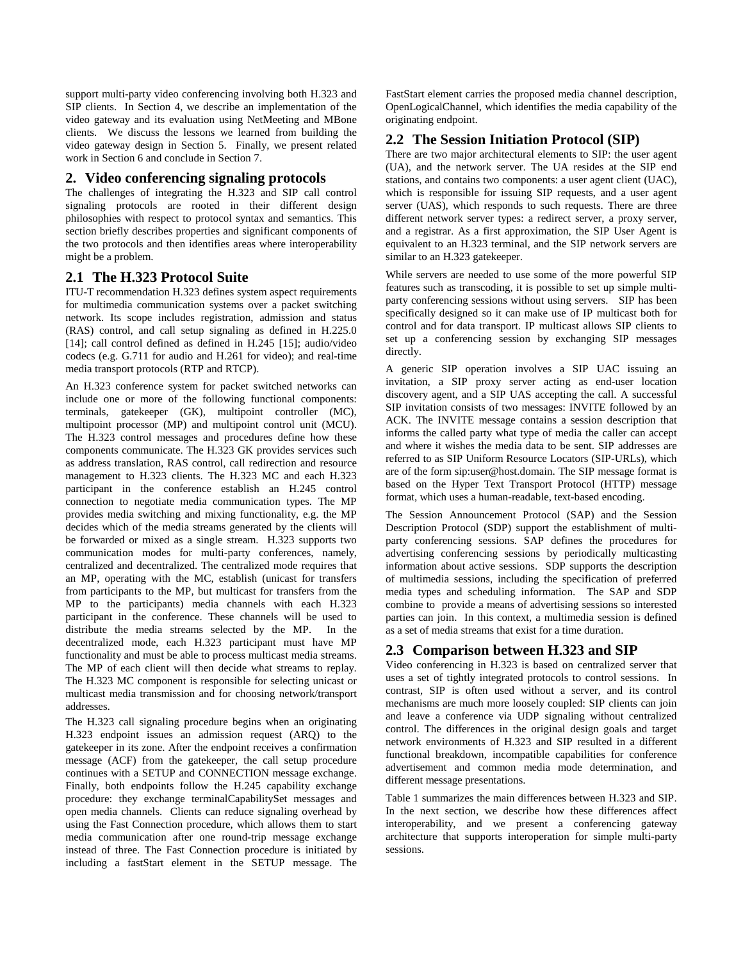support multi-party video conferencing involving both H.323 and SIP clients. In Section 4, we describe an implementation of the video gateway and its evaluation using NetMeeting and MBone clients. We discuss the lessons we learned from building the video gateway design in Section 5. Finally, we present related work in Section 6 and conclude in Section 7.

# **2. Video conferencing signaling protocols**

The challenges of integrating the H.323 and SIP call control signaling protocols are rooted in their different design philosophies with respect to protocol syntax and semantics. This section briefly describes properties and significant components of the two protocols and then identifies areas where interoperability might be a problem.

# **2.1 The H.323 Protocol Suite**

ITU-T recommendation H.323 defines system aspect requirements for multimedia communication systems over a packet switching network. Its scope includes registration, admission and status (RAS) control, and call setup signaling as defined in H.225.0 [14]; call control defined as defined in H.245 [15]; audio/video codecs (e.g. G.711 for audio and H.261 for video); and real-time media transport protocols (RTP and RTCP).

An H.323 conference system for packet switched networks can include one or more of the following functional components: terminals, gatekeeper (GK), multipoint controller (MC), multipoint processor (MP) and multipoint control unit (MCU). The H.323 control messages and procedures define how these components communicate. The H.323 GK provides services such as address translation, RAS control, call redirection and resource management to H.323 clients. The H.323 MC and each H.323 participant in the conference establish an H.245 control connection to negotiate media communication types. The MP provides media switching and mixing functionality, e.g. the MP decides which of the media streams generated by the clients will be forwarded or mixed as a single stream. H.323 supports two communication modes for multi-party conferences, namely, centralized and decentralized. The centralized mode requires that an MP, operating with the MC, establish (unicast for transfers from participants to the MP, but multicast for transfers from the MP to the participants) media channels with each H.323 participant in the conference. These channels will be used to distribute the media streams selected by the MP. In the decentralized mode, each H.323 participant must have MP functionality and must be able to process multicast media streams. The MP of each client will then decide what streams to replay. The H.323 MC component is responsible for selecting unicast or multicast media transmission and for choosing network/transport addresses.

The H.323 call signaling procedure begins when an originating H.323 endpoint issues an admission request (ARQ) to the gatekeeper in its zone. After the endpoint receives a confirmation message (ACF) from the gatekeeper, the call setup procedure continues with a SETUP and CONNECTION message exchange. Finally, both endpoints follow the H.245 capability exchange procedure: they exchange terminalCapabilitySet messages and open media channels. Clients can reduce signaling overhead by using the Fast Connection procedure, which allows them to start media communication after one round-trip message exchange instead of three. The Fast Connection procedure is initiated by including a fastStart element in the SETUP message. The

FastStart element carries the proposed media channel description, OpenLogicalChannel, which identifies the media capability of the originating endpoint.

# **2.2 The Session Initiation Protocol (SIP)**

There are two major architectural elements to SIP: the user agent (UA), and the network server. The UA resides at the SIP end stations, and contains two components: a user agent client (UAC), which is responsible for issuing SIP requests, and a user agent server (UAS), which responds to such requests. There are three different network server types: a redirect server, a proxy server, and a registrar. As a first approximation, the SIP User Agent is equivalent to an H.323 terminal, and the SIP network servers are similar to an H.323 gatekeeper.

While servers are needed to use some of the more powerful SIP features such as transcoding, it is possible to set up simple multiparty conferencing sessions without using servers. SIP has been specifically designed so it can make use of IP multicast both for control and for data transport. IP multicast allows SIP clients to set up a conferencing session by exchanging SIP messages directly.

A generic SIP operation involves a SIP UAC issuing an invitation, a SIP proxy server acting as end-user location discovery agent, and a SIP UAS accepting the call. A successful SIP invitation consists of two messages: INVITE followed by an ACK. The INVITE message contains a session description that informs the called party what type of media the caller can accept and where it wishes the media data to be sent. SIP addresses are referred to as SIP Uniform Resource Locators (SIP-URLs), which are of the form sip:user@host.domain. The SIP message format is based on the Hyper Text Transport Protocol (HTTP) message format, which uses a human-readable, text-based encoding.

The Session Announcement Protocol (SAP) and the Session Description Protocol (SDP) support the establishment of multiparty conferencing sessions. SAP defines the procedures for advertising conferencing sessions by periodically multicasting information about active sessions. SDP supports the description of multimedia sessions, including the specification of preferred media types and scheduling information. The SAP and SDP combine to provide a means of advertising sessions so interested parties can join. In this context, a multimedia session is defined as a set of media streams that exist for a time duration.

# **2.3 Comparison between H.323 and SIP**

Video conferencing in H.323 is based on centralized server that uses a set of tightly integrated protocols to control sessions. In contrast, SIP is often used without a server, and its control mechanisms are much more loosely coupled: SIP clients can join and leave a conference via UDP signaling without centralized control. The differences in the original design goals and target network environments of H.323 and SIP resulted in a different functional breakdown, incompatible capabilities for conference advertisement and common media mode determination, and different message presentations.

Table 1 summarizes the main differences between H.323 and SIP. In the next section, we describe how these differences affect interoperability, and we present a conferencing gateway architecture that supports interoperation for simple multi-party sessions.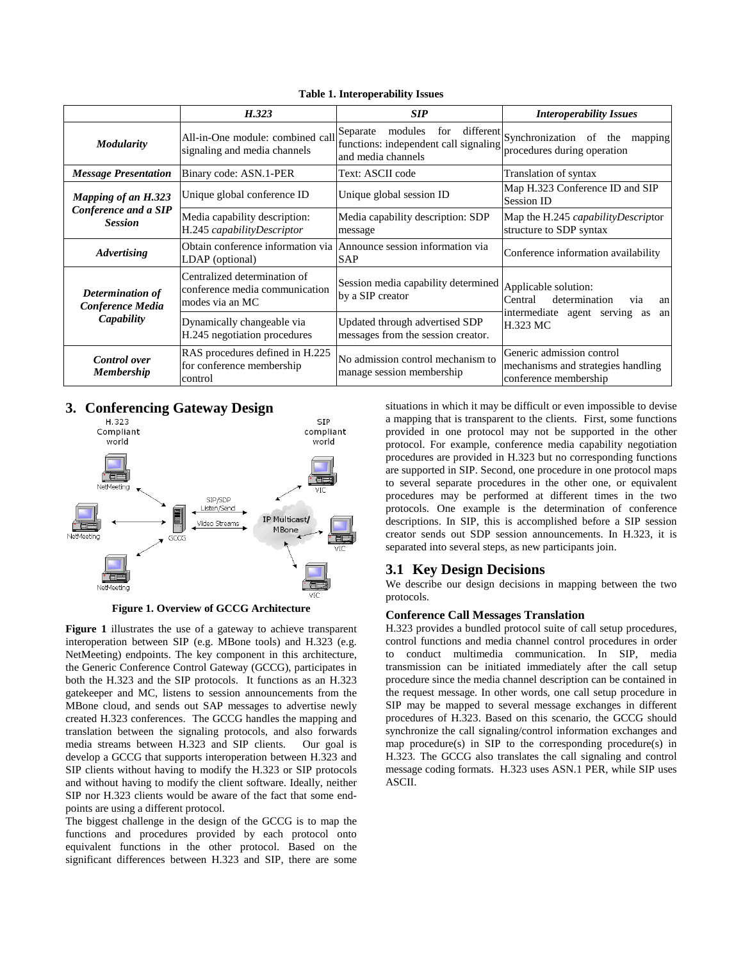|                                                               | H.323                                                                             | <b>SIP</b>                                                                                | <b>Interoperability Issues</b>                                                                  |  |
|---------------------------------------------------------------|-----------------------------------------------------------------------------------|-------------------------------------------------------------------------------------------|-------------------------------------------------------------------------------------------------|--|
| <b>Modularity</b>                                             | All-in-One module: combined call<br>signaling and media channels                  | modules<br>Separate<br>for<br>functions: independent call signaling<br>and media channels | different Synchronization<br>of<br>the<br>mapping<br>procedures during operation                |  |
| <b>Message Presentation</b>                                   | Binary code: ASN.1-PER                                                            | Text: ASCII code                                                                          | Translation of syntax                                                                           |  |
| Mapping of an H.323<br>Conference and a SIP<br><b>Session</b> | Unique global conference ID                                                       | Unique global session ID                                                                  | Map H.323 Conference ID and SIP<br>Session ID                                                   |  |
|                                                               | Media capability description:<br>H.245 capabilityDescriptor                       | Media capability description: SDP<br>message                                              | Map the H.245 capability Descriptor<br>structure to SDP syntax                                  |  |
| <b>Advertising</b>                                            | Obtain conference information via<br>LDAP (optional)                              | Announce session information via<br><b>SAP</b>                                            | Conference information availability                                                             |  |
| Determination of<br>Conference Media<br>Capability            | Centralized determination of<br>conference media communication<br>modes via an MC | Session media capability determined Applicable solution:<br>by a SIP creator              | determination<br>Central<br>via<br>an<br>intermediate agent serving as<br>an<br><b>H.323 MC</b> |  |
|                                                               | Dynamically changeable via<br>H.245 negotiation procedures                        | Updated through advertised SDP<br>messages from the session creator.                      |                                                                                                 |  |
| <b>Control</b> over<br><b>Membership</b>                      | RAS procedures defined in H.225<br>for conference membership<br>control           | No admission control mechanism to<br>manage session membership                            | Generic admission control<br>mechanisms and strategies handling<br>conference membership        |  |

**Table 1. Interoperability Issues**

# **3. Conferencing Gateway Design**



**Figure 1. Overview of GCCG Architecture**

**Figure 1** illustrates the use of a gateway to achieve transparent interoperation between SIP (e.g. MBone tools) and H.323 (e.g. NetMeeting) endpoints. The key component in this architecture, the Generic Conference Control Gateway (GCCG), participates in both the H.323 and the SIP protocols. It functions as an H.323 gatekeeper and MC, listens to session announcements from the MBone cloud, and sends out SAP messages to advertise newly created H.323 conferences. The GCCG handles the mapping and translation between the signaling protocols, and also forwards media streams between H.323 and SIP clients. Our goal is develop a GCCG that supports interoperation between H.323 and SIP clients without having to modify the H.323 or SIP protocols and without having to modify the client software. Ideally, neither SIP nor H.323 clients would be aware of the fact that some endpoints are using a different protocol.

The biggest challenge in the design of the GCCG is to map the functions and procedures provided by each protocol onto equivalent functions in the other protocol. Based on the significant differences between H.323 and SIP, there are some

situations in which it may be difficult or even impossible to devise a mapping that is transparent to the clients. First, some functions provided in one protocol may not be supported in the other protocol. For example, conference media capability negotiation procedures are provided in H.323 but no corresponding functions are supported in SIP. Second, one procedure in one protocol maps to several separate procedures in the other one, or equivalent procedures may be performed at different times in the two protocols. One example is the determination of conference descriptions. In SIP, this is accomplished before a SIP session creator sends out SDP session announcements. In H.323, it is separated into several steps, as new participants join.

### **3.1 Key Design Decisions**

We describe our design decisions in mapping between the two protocols.

### **Conference Call Messages Translation**

H.323 provides a bundled protocol suite of call setup procedures, control functions and media channel control procedures in order to conduct multimedia communication. In SIP, media transmission can be initiated immediately after the call setup procedure since the media channel description can be contained in the request message. In other words, one call setup procedure in SIP may be mapped to several message exchanges in different procedures of H.323. Based on this scenario, the GCCG should synchronize the call signaling/control information exchanges and map procedure(s) in SIP to the corresponding procedure(s) in H.323. The GCCG also translates the call signaling and control message coding formats. H.323 uses ASN.1 PER, while SIP uses ASCII.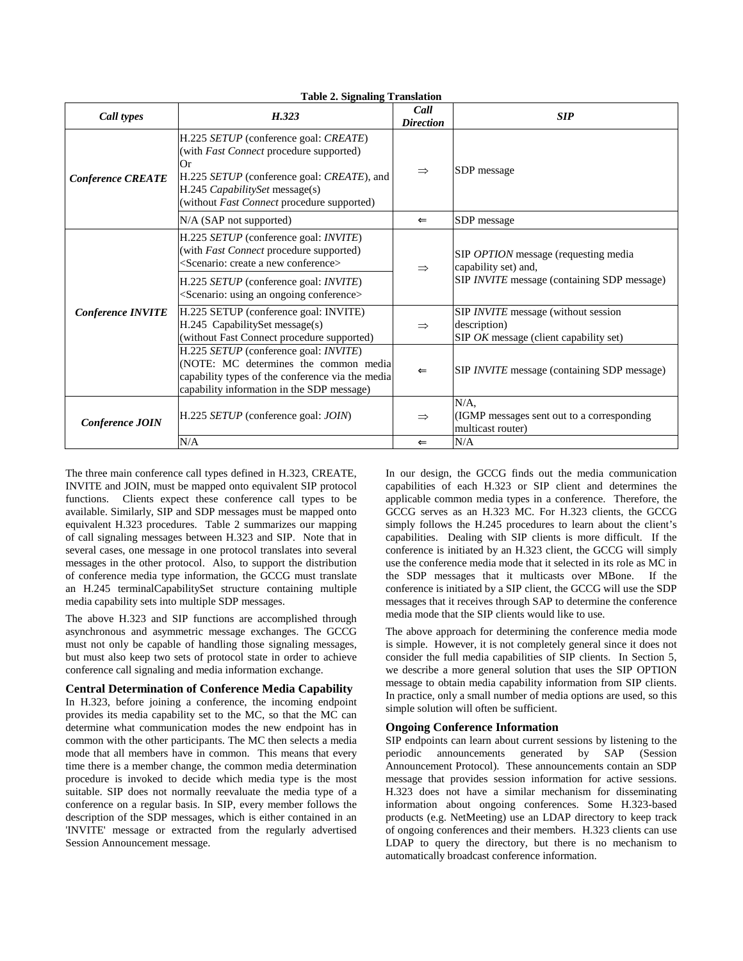| Call types               | H.323                                                                                                                                                                                                                       | Call<br><b>Direction</b> | <b>SIP</b>                                                                                                         |
|--------------------------|-----------------------------------------------------------------------------------------------------------------------------------------------------------------------------------------------------------------------------|--------------------------|--------------------------------------------------------------------------------------------------------------------|
| <b>Conference CREATE</b> | H.225 SETUP (conference goal: CREATE)<br>(with <i>Fast Connect</i> procedure supported)<br>Or<br>H.225 SETUP (conference goal: CREATE), and<br>H.245 CapabilitySet message(s)<br>(without Fast Connect procedure supported) | $\Rightarrow$            | SDP message                                                                                                        |
|                          | $N/A$ (SAP not supported)                                                                                                                                                                                                   | $\leftarrow$             | SDP message                                                                                                        |
| <b>Conference INVITE</b> | H.225 SETUP (conference goal: <i>INVITE</i> )<br>(with Fast Connect procedure supported)<br><scenario: a="" conference="" create="" new=""></scenario:>                                                                     | $\Rightarrow$            | SIP OPTION message (requesting media<br>capability set) and,<br>SIP <i>INVITE</i> message (containing SDP message) |
|                          | H.225 SETUP (conference goal: <i>INVITE</i> )<br><scenario: an="" conference="" ongoing="" using=""></scenario:>                                                                                                            |                          |                                                                                                                    |
|                          | H.225 SETUP (conference goal: INVITE)<br>H.245 CapabilitySet message(s)<br>(without Fast Connect procedure supported)                                                                                                       | $\Rightarrow$            | SIP INVITE message (without session<br>description)<br>SIP OK message (client capability set)                      |
|                          | H.225 SETUP (conference goal: INVITE)<br>(NOTE: MC determines the common media<br>capability types of the conference via the media<br>capability information in the SDP message)                                            | $\leftarrow$             | SIP <i>INVITE</i> message (containing SDP message)                                                                 |
| Conference JOIN          | H.225 SETUP (conference goal: JOIN)                                                                                                                                                                                         | $\Rightarrow$            | $N/A$ .<br>(IGMP messages sent out to a corresponding)<br>multicast router)                                        |
|                          | N/A                                                                                                                                                                                                                         | $\leftarrow$             | N/A                                                                                                                |

**Table 2. Signaling Translation**

The three main conference call types defined in H.323, CREATE, INVITE and JOIN, must be mapped onto equivalent SIP protocol functions. Clients expect these conference call types to be available. Similarly, SIP and SDP messages must be mapped onto equivalent H.323 procedures. Table 2 summarizes our mapping of call signaling messages between H.323 and SIP. Note that in several cases, one message in one protocol translates into several messages in the other protocol. Also, to support the distribution of conference media type information, the GCCG must translate an H.245 terminalCapabilitySet structure containing multiple media capability sets into multiple SDP messages.

The above H.323 and SIP functions are accomplished through asynchronous and asymmetric message exchanges. The GCCG must not only be capable of handling those signaling messages, but must also keep two sets of protocol state in order to achieve conference call signaling and media information exchange.

### **Central Determination of Conference Media Capability**

In H.323, before joining a conference, the incoming endpoint provides its media capability set to the MC, so that the MC can determine what communication modes the new endpoint has in common with the other participants. The MC then selects a media mode that all members have in common. This means that every time there is a member change, the common media determination procedure is invoked to decide which media type is the most suitable. SIP does not normally reevaluate the media type of a conference on a regular basis. In SIP, every member follows the description of the SDP messages, which is either contained in an 'INVITE' message or extracted from the regularly advertised Session Announcement message.

In our design, the GCCG finds out the media communication capabilities of each H.323 or SIP client and determines the applicable common media types in a conference. Therefore, the GCCG serves as an H.323 MC. For H.323 clients, the GCCG simply follows the H.245 procedures to learn about the client's capabilities. Dealing with SIP clients is more difficult. If the conference is initiated by an H.323 client, the GCCG will simply use the conference media mode that it selected in its role as MC in the SDP messages that it multicasts over MBone. If the conference is initiated by a SIP client, the GCCG will use the SDP messages that it receives through SAP to determine the conference media mode that the SIP clients would like to use.

The above approach for determining the conference media mode is simple. However, it is not completely general since it does not consider the full media capabilities of SIP clients. In Section 5, we describe a more general solution that uses the SIP OPTION message to obtain media capability information from SIP clients. In practice, only a small number of media options are used, so this simple solution will often be sufficient.

### **Ongoing Conference Information**

SIP endpoints can learn about current sessions by listening to the periodic announcements generated by SAP (Session Announcement Protocol). These announcements contain an SDP message that provides session information for active sessions. H.323 does not have a similar mechanism for disseminating information about ongoing conferences. Some H.323-based products (e.g. NetMeeting) use an LDAP directory to keep track of ongoing conferences and their members. H.323 clients can use LDAP to query the directory, but there is no mechanism to automatically broadcast conference information.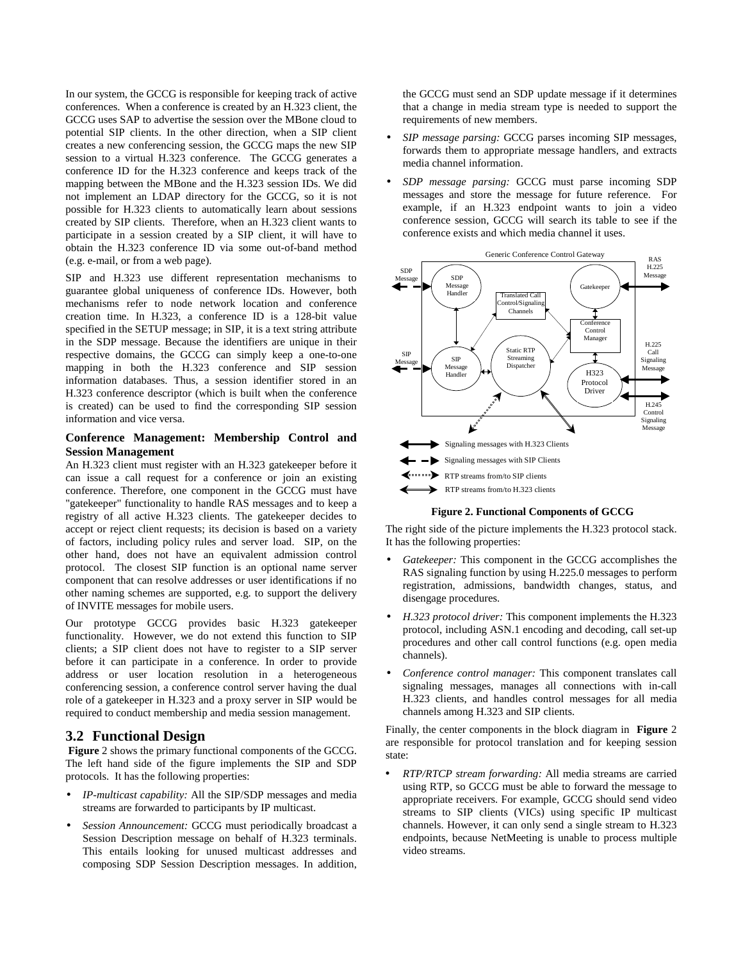In our system, the GCCG is responsible for keeping track of active conferences. When a conference is created by an H.323 client, the GCCG uses SAP to advertise the session over the MBone cloud to potential SIP clients. In the other direction, when a SIP client creates a new conferencing session, the GCCG maps the new SIP session to a virtual H.323 conference. The GCCG generates a conference ID for the H.323 conference and keeps track of the mapping between the MBone and the H.323 session IDs. We did not implement an LDAP directory for the GCCG, so it is not possible for H.323 clients to automatically learn about sessions created by SIP clients. Therefore, when an H.323 client wants to participate in a session created by a SIP client, it will have to obtain the H.323 conference ID via some out-of-band method (e.g. e-mail, or from a web page).

SIP and H.323 use different representation mechanisms to guarantee global uniqueness of conference IDs. However, both mechanisms refer to node network location and conference creation time. In H.323, a conference ID is a 128-bit value specified in the SETUP message; in SIP, it is a text string attribute in the SDP message. Because the identifiers are unique in their respective domains, the GCCG can simply keep a one-to-one mapping in both the H.323 conference and SIP session information databases. Thus, a session identifier stored in an H.323 conference descriptor (which is built when the conference is created) can be used to find the corresponding SIP session information and vice versa.

### **Conference Management: Membership Control and Session Management**

An H.323 client must register with an H.323 gatekeeper before it can issue a call request for a conference or join an existing conference. Therefore, one component in the GCCG must have "gatekeeper" functionality to handle RAS messages and to keep a registry of all active H.323 clients. The gatekeeper decides to accept or reject client requests; its decision is based on a variety of factors, including policy rules and server load. SIP, on the other hand, does not have an equivalent admission control protocol. The closest SIP function is an optional name server component that can resolve addresses or user identifications if no other naming schemes are supported, e.g. to support the delivery of INVITE messages for mobile users.

Our prototype GCCG provides basic H.323 gatekeeper functionality. However, we do not extend this function to SIP clients; a SIP client does not have to register to a SIP server before it can participate in a conference. In order to provide address or user location resolution in a heterogeneous conferencing session, a conference control server having the dual role of a gatekeeper in H.323 and a proxy server in SIP would be required to conduct membership and media session management.

# **3.2 Functional Design**

**Figure** 2 shows the primary functional components of the GCCG. The left hand side of the figure implements the SIP and SDP protocols. It has the following properties:

- *IP-multicast capability:* All the SIP/SDP messages and media streams are forwarded to participants by IP multicast.
- *Session Announcement:* GCCG must periodically broadcast a Session Description message on behalf of H.323 terminals. This entails looking for unused multicast addresses and composing SDP Session Description messages. In addition,

the GCCG must send an SDP update message if it determines that a change in media stream type is needed to support the requirements of new members.

- *SIP message parsing:* GCCG parses incoming SIP messages, forwards them to appropriate message handlers, and extracts media channel information.
- *SDP message parsing:* GCCG must parse incoming SDP messages and store the message for future reference. For example, if an H.323 endpoint wants to join a video conference session, GCCG will search its table to see if the conference exists and which media channel it uses.



**Figure 2. Functional Components of GCCG**

The right side of the picture implements the H.323 protocol stack. It has the following properties:

- *Gatekeeper:* This component in the GCCG accomplishes the RAS signaling function by using H.225.0 messages to perform registration, admissions, bandwidth changes, status, and disengage procedures.
- *H.323 protocol driver:* This component implements the H.323 protocol, including ASN.1 encoding and decoding, call set-up procedures and other call control functions (e.g. open media channels).
- *Conference control manager:* This component translates call signaling messages, manages all connections with in-call H.323 clients, and handles control messages for all media channels among H.323 and SIP clients.

Finally, the center components in the block diagram in **Figure** 2 are responsible for protocol translation and for keeping session state:

• *RTP/RTCP stream forwarding:* All media streams are carried using RTP, so GCCG must be able to forward the message to appropriate receivers. For example, GCCG should send video streams to SIP clients (VICs) using specific IP multicast channels. However, it can only send a single stream to H.323 endpoints, because NetMeeting is unable to process multiple video streams.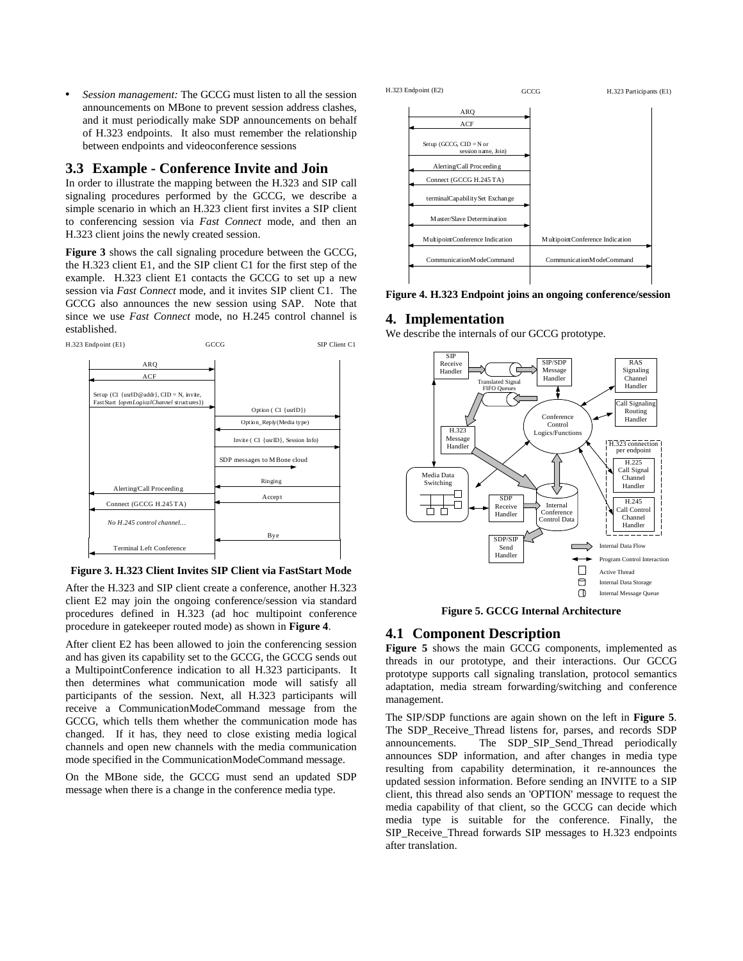• *Session management:* The GCCG must listen to all the session announcements on MBone to prevent session address clashes, and it must periodically make SDP announcements on behalf of H.323 endpoints. It also must remember the relationship between endpoints and videoconference sessions

# **3.3 Example - Conference Invite and Join**

In order to illustrate the mapping between the H.323 and SIP call signaling procedures performed by the GCCG, we describe a simple scenario in which an H.323 client first invites a SIP client to conferencing session via *Fast Connect* mode, and then an H.323 client joins the newly created session.

**Figure 3** shows the call signaling procedure between the GCCG, the H.323 client E1, and the SIP client C1 for the first step of the example. H.323 client E1 contacts the GCCG to set up a new session via *Fast Connect* mode, and it invites SIP client C1. The GCCG also announces the new session using SAP. Note that since we use *Fast Connect* mode, no H.245 control channel is established.



**Figure 3. H.323 Client Invites SIP Client via FastStart Mode**

After the H.323 and SIP client create a conference, another H.323 client E2 may join the ongoing conference/session via standard procedures defined in H.323 (ad hoc multipoint conference procedure in gatekeeper routed mode) as shown in **Figure 4**.

After client E2 has been allowed to join the conferencing session and has given its capability set to the GCCG, the GCCG sends out a MultipointConference indication to all H.323 participants. It then determines what communication mode will satisfy all participants of the session. Next, all H.323 participants will receive a CommunicationModeCommand message from the GCCG, which tells them whether the communication mode has changed. If it has, they need to close existing media logical channels and open new channels with the media communication mode specified in the CommunicationModeCommand message.

On the MBone side, the GCCG must send an updated SDP message when there is a change in the conference media type.



**Figure 4. H.323 Endpoint joins an ongoing conference/session**

### **4. Implementation**

We describe the internals of our GCCG prototype.



**Figure 5. GCCG Internal Architecture**

# **4.1 Component Description**

**Figure 5** shows the main GCCG components, implemented as threads in our prototype, and their interactions. Our GCCG prototype supports call signaling translation, protocol semantics adaptation, media stream forwarding/switching and conference management.

The SIP/SDP functions are again shown on the left in **Figure 5**. The SDP Receive Thread listens for, parses, and records SDP announcements. The SDP\_SIP\_Send\_Thread periodically announces SDP information, and after changes in media type resulting from capability determination, it re-announces the updated session information. Before sending an INVITE to a SIP client, this thread also sends an 'OPTION' message to request the media capability of that client, so the GCCG can decide which media type is suitable for the conference. Finally, the SIP\_Receive\_Thread forwards SIP messages to H.323 endpoints after translation.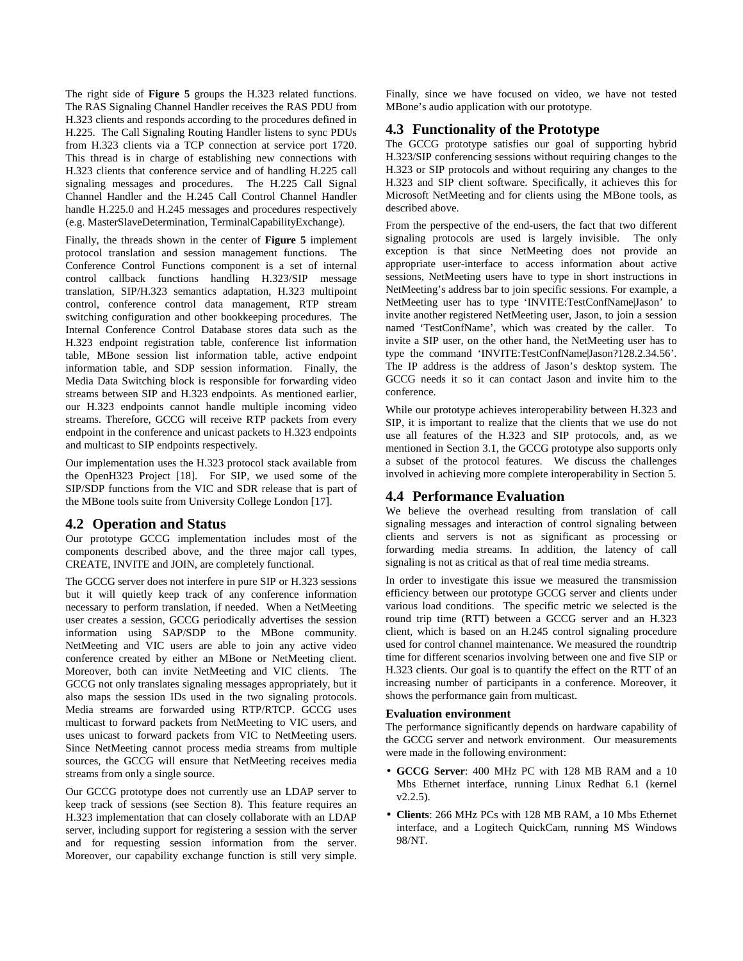The right side of **Figure 5** groups the H.323 related functions. The RAS Signaling Channel Handler receives the RAS PDU from H.323 clients and responds according to the procedures defined in H.225. The Call Signaling Routing Handler listens to sync PDUs from H.323 clients via a TCP connection at service port 1720. This thread is in charge of establishing new connections with H.323 clients that conference service and of handling H.225 call signaling messages and procedures. The H.225 Call Signal Channel Handler and the H.245 Call Control Channel Handler handle H.225.0 and H.245 messages and procedures respectively (e.g. MasterSlaveDetermination, TerminalCapabilityExchange).

Finally, the threads shown in the center of **Figure 5** implement protocol translation and session management functions. The Conference Control Functions component is a set of internal control callback functions handling H.323/SIP message translation, SIP/H.323 semantics adaptation, H.323 multipoint control, conference control data management, RTP stream switching configuration and other bookkeeping procedures. The Internal Conference Control Database stores data such as the H.323 endpoint registration table, conference list information table, MBone session list information table, active endpoint information table, and SDP session information. Finally, the Media Data Switching block is responsible for forwarding video streams between SIP and H.323 endpoints. As mentioned earlier, our H.323 endpoints cannot handle multiple incoming video streams. Therefore, GCCG will receive RTP packets from every endpoint in the conference and unicast packets to H.323 endpoints and multicast to SIP endpoints respectively.

Our implementation uses the H.323 protocol stack available from the OpenH323 Project [18]. For SIP, we used some of the SIP/SDP functions from the VIC and SDR release that is part of the MBone tools suite from University College London [17].

### **4.2 Operation and Status**

Our prototype GCCG implementation includes most of the components described above, and the three major call types, CREATE, INVITE and JOIN, are completely functional.

The GCCG server does not interfere in pure SIP or H.323 sessions but it will quietly keep track of any conference information necessary to perform translation, if needed. When a NetMeeting user creates a session, GCCG periodically advertises the session information using SAP/SDP to the MBone community. NetMeeting and VIC users are able to join any active video conference created by either an MBone or NetMeeting client. Moreover, both can invite NetMeeting and VIC clients. The GCCG not only translates signaling messages appropriately, but it also maps the session IDs used in the two signaling protocols. Media streams are forwarded using RTP/RTCP. GCCG uses multicast to forward packets from NetMeeting to VIC users, and uses unicast to forward packets from VIC to NetMeeting users. Since NetMeeting cannot process media streams from multiple sources, the GCCG will ensure that NetMeeting receives media streams from only a single source.

Our GCCG prototype does not currently use an LDAP server to keep track of sessions (see Section 8). This feature requires an H.323 implementation that can closely collaborate with an LDAP server, including support for registering a session with the server and for requesting session information from the server. Moreover, our capability exchange function is still very simple. Finally, since we have focused on video, we have not tested MBone's audio application with our prototype.

# **4.3 Functionality of the Prototype**

The GCCG prototype satisfies our goal of supporting hybrid H.323/SIP conferencing sessions without requiring changes to the H.323 or SIP protocols and without requiring any changes to the H.323 and SIP client software. Specifically, it achieves this for Microsoft NetMeeting and for clients using the MBone tools, as described above.

From the perspective of the end-users, the fact that two different signaling protocols are used is largely invisible. The only exception is that since NetMeeting does not provide an appropriate user-interface to access information about active sessions, NetMeeting users have to type in short instructions in NetMeeting's address bar to join specific sessions. For example, a NetMeeting user has to type 'INVITE:TestConfName|Jason' to invite another registered NetMeeting user, Jason, to join a session named 'TestConfName', which was created by the caller. To invite a SIP user, on the other hand, the NetMeeting user has to type the command 'INVITE:TestConfName|Jason?128.2.34.56'. The IP address is the address of Jason's desktop system. The GCCG needs it so it can contact Jason and invite him to the conference.

While our prototype achieves interoperability between H.323 and SIP, it is important to realize that the clients that we use do not use all features of the H.323 and SIP protocols, and, as we mentioned in Section 3.1, the GCCG prototype also supports only a subset of the protocol features. We discuss the challenges involved in achieving more complete interoperability in Section 5.

# **4.4 Performance Evaluation**

We believe the overhead resulting from translation of call signaling messages and interaction of control signaling between clients and servers is not as significant as processing or forwarding media streams. In addition, the latency of call signaling is not as critical as that of real time media streams.

In order to investigate this issue we measured the transmission efficiency between our prototype GCCG server and clients under various load conditions. The specific metric we selected is the round trip time (RTT) between a GCCG server and an H.323 client, which is based on an H.245 control signaling procedure used for control channel maintenance. We measured the roundtrip time for different scenarios involving between one and five SIP or H.323 clients. Our goal is to quantify the effect on the RTT of an increasing number of participants in a conference. Moreover, it shows the performance gain from multicast.

### **Evaluation environment**

The performance significantly depends on hardware capability of the GCCG server and network environment. Our measurements were made in the following environment:

- **GCCG Server**: 400 MHz PC with 128 MB RAM and a 10 Mbs Ethernet interface, running Linux Redhat 6.1 (kernel  $v2.2.5$ ).
- **Clients**: 266 MHz PCs with 128 MB RAM, a 10 Mbs Ethernet interface, and a Logitech QuickCam, running MS Windows 98/NT.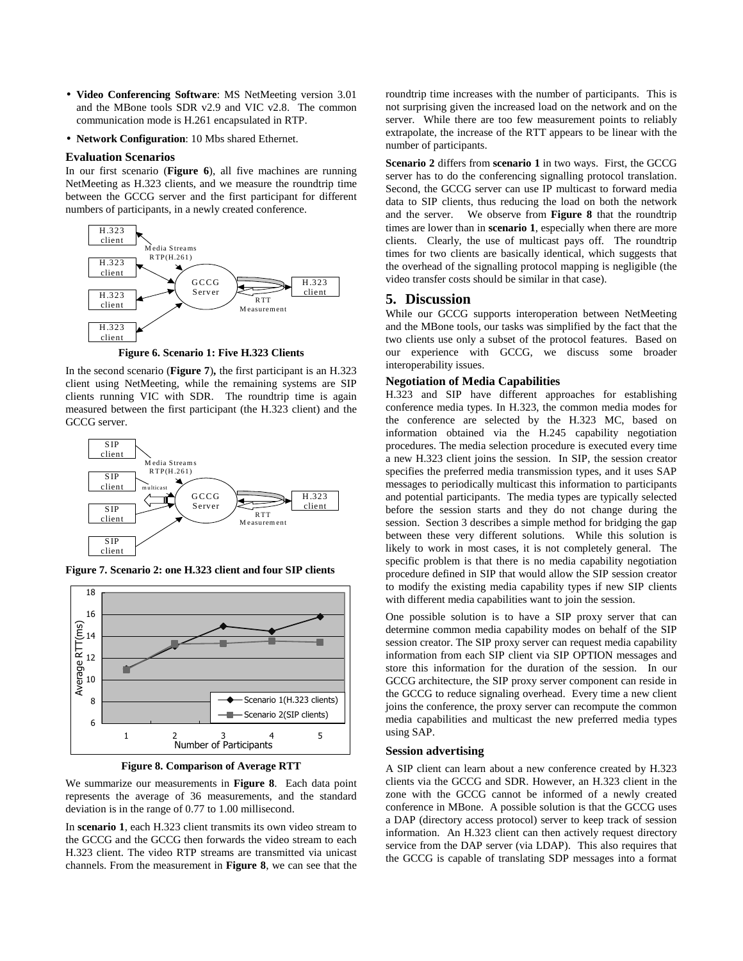- **Video Conferencing Software**: MS NetMeeting version 3.01 and the MBone tools SDR v2.9 and VIC v2.8. The common communication mode is H.261 encapsulated in RTP.
- **Network Configuration**: 10 Mbs shared Ethernet.

#### **Evaluation Scenarios**

In our first scenario (**Figure 6**), all five machines are running NetMeeting as H.323 clients, and we measure the roundtrip time between the GCCG server and the first participant for different numbers of participants, in a newly created conference.



**Figure 6. Scenario 1: Five H.323 Clients**

In the second scenario (**Figure 7**)**,** the first participant is an H.323 client using NetMeeting, while the remaining systems are SIP clients running VIC with SDR. The roundtrip time is again measured between the first participant (the H.323 client) and the GCCG server.



**Figure 7. Scenario 2: one H.323 client and four SIP clients**



**Figure 8. Comparison of Average RTT**

We summarize our measurements in **Figure 8**. Each data point represents the average of 36 measurements, and the standard deviation is in the range of 0.77 to 1.00 millisecond.

In **scenario 1**, each H.323 client transmits its own video stream to the GCCG and the GCCG then forwards the video stream to each H.323 client. The video RTP streams are transmitted via unicast channels. From the measurement in **Figure 8**, we can see that the

roundtrip time increases with the number of participants. This is not surprising given the increased load on the network and on the server. While there are too few measurement points to reliably extrapolate, the increase of the RTT appears to be linear with the number of participants.

**Scenario 2** differs from **scenario 1** in two ways. First, the GCCG server has to do the conferencing signalling protocol translation. Second, the GCCG server can use IP multicast to forward media data to SIP clients, thus reducing the load on both the network and the server. We observe from **Figure 8** that the roundtrip times are lower than in **scenario 1**, especially when there are more clients. Clearly, the use of multicast pays off. The roundtrip times for two clients are basically identical, which suggests that the overhead of the signalling protocol mapping is negligible (the video transfer costs should be similar in that case).

# **5. Discussion**

While our GCCG supports interoperation between NetMeeting and the MBone tools, our tasks was simplified by the fact that the two clients use only a subset of the protocol features. Based on our experience with GCCG, we discuss some broader interoperability issues.

#### **Negotiation of Media Capabilities**

H.323 and SIP have different approaches for establishing conference media types. In H.323, the common media modes for the conference are selected by the H.323 MC, based on information obtained via the H.245 capability negotiation procedures. The media selection procedure is executed every time a new H.323 client joins the session. In SIP, the session creator specifies the preferred media transmission types, and it uses SAP messages to periodically multicast this information to participants and potential participants. The media types are typically selected before the session starts and they do not change during the session. Section 3 describes a simple method for bridging the gap between these very different solutions. While this solution is likely to work in most cases, it is not completely general. The specific problem is that there is no media capability negotiation procedure defined in SIP that would allow the SIP session creator to modify the existing media capability types if new SIP clients with different media capabilities want to join the session.

One possible solution is to have a SIP proxy server that can determine common media capability modes on behalf of the SIP session creator. The SIP proxy server can request media capability information from each SIP client via SIP OPTION messages and store this information for the duration of the session. In our GCCG architecture, the SIP proxy server component can reside in the GCCG to reduce signaling overhead. Every time a new client joins the conference, the proxy server can recompute the common media capabilities and multicast the new preferred media types using SAP.

#### **Session advertising**

A SIP client can learn about a new conference created by H.323 clients via the GCCG and SDR. However, an H.323 client in the zone with the GCCG cannot be informed of a newly created conference in MBone. A possible solution is that the GCCG uses a DAP (directory access protocol) server to keep track of session information. An H.323 client can then actively request directory service from the DAP server (via LDAP). This also requires that the GCCG is capable of translating SDP messages into a format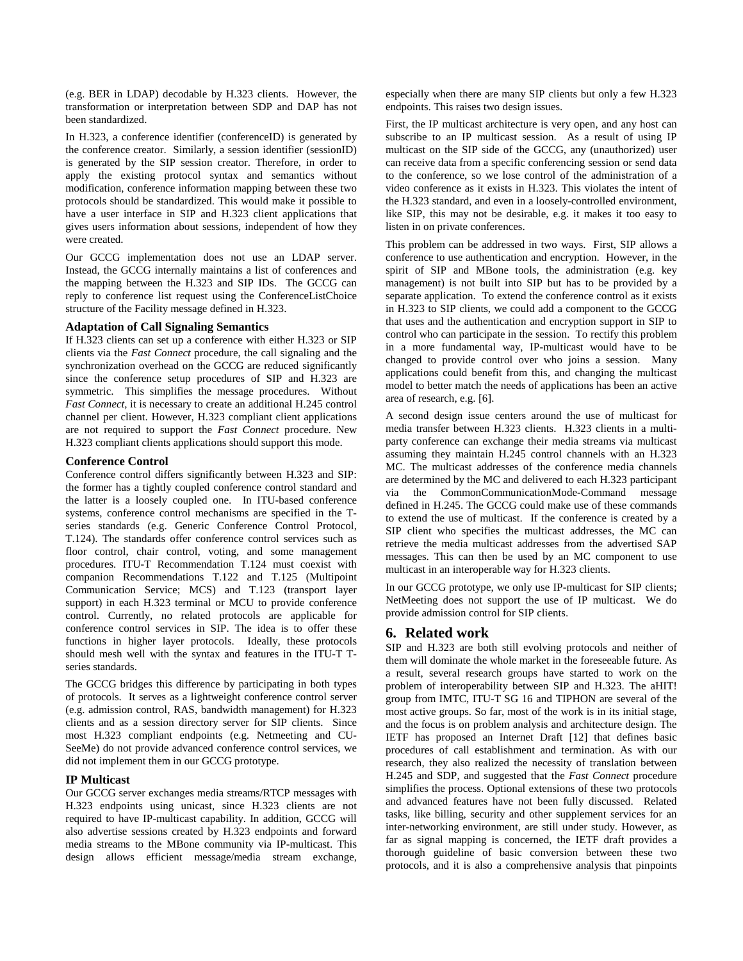(e.g. BER in LDAP) decodable by H.323 clients. However, the transformation or interpretation between SDP and DAP has not been standardized.

In H.323, a conference identifier (conferenceID) is generated by the conference creator. Similarly, a session identifier (sessionID) is generated by the SIP session creator. Therefore, in order to apply the existing protocol syntax and semantics without modification, conference information mapping between these two protocols should be standardized. This would make it possible to have a user interface in SIP and H.323 client applications that gives users information about sessions, independent of how they were created.

Our GCCG implementation does not use an LDAP server. Instead, the GCCG internally maintains a list of conferences and the mapping between the H.323 and SIP IDs. The GCCG can reply to conference list request using the ConferenceListChoice structure of the Facility message defined in H.323.

### **Adaptation of Call Signaling Semantics**

If H.323 clients can set up a conference with either H.323 or SIP clients via the *Fast Connect* procedure, the call signaling and the synchronization overhead on the GCCG are reduced significantly since the conference setup procedures of SIP and H.323 are symmetric. This simplifies the message procedures. Without *Fast Connect*, it is necessary to create an additional H.245 control channel per client. However, H.323 compliant client applications are not required to support the *Fast Connect* procedure. New H.323 compliant clients applications should support this mode.

### **Conference Control**

Conference control differs significantly between H.323 and SIP: the former has a tightly coupled conference control standard and the latter is a loosely coupled one. In ITU-based conference systems, conference control mechanisms are specified in the Tseries standards (e.g. Generic Conference Control Protocol, T.124). The standards offer conference control services such as floor control, chair control, voting, and some management procedures. ITU-T Recommendation T.124 must coexist with companion Recommendations T.122 and T.125 (Multipoint Communication Service; MCS) and T.123 (transport layer support) in each H.323 terminal or MCU to provide conference control. Currently, no related protocols are applicable for conference control services in SIP. The idea is to offer these functions in higher layer protocols. Ideally, these protocols should mesh well with the syntax and features in the ITU-T Tseries standards.

The GCCG bridges this difference by participating in both types of protocols. It serves as a lightweight conference control server (e.g. admission control, RAS, bandwidth management) for H.323 clients and as a session directory server for SIP clients. Since most H.323 compliant endpoints (e.g. Netmeeting and CU-SeeMe) do not provide advanced conference control services, we did not implement them in our GCCG prototype.

### **IP Multicast**

Our GCCG server exchanges media streams/RTCP messages with H.323 endpoints using unicast, since H.323 clients are not required to have IP-multicast capability. In addition, GCCG will also advertise sessions created by H.323 endpoints and forward media streams to the MBone community via IP-multicast. This design allows efficient message/media stream exchange, especially when there are many SIP clients but only a few H.323 endpoints. This raises two design issues.

First, the IP multicast architecture is very open, and any host can subscribe to an IP multicast session. As a result of using IP multicast on the SIP side of the GCCG, any (unauthorized) user can receive data from a specific conferencing session or send data to the conference, so we lose control of the administration of a video conference as it exists in H.323. This violates the intent of the H.323 standard, and even in a loosely-controlled environment, like SIP, this may not be desirable, e.g. it makes it too easy to listen in on private conferences.

This problem can be addressed in two ways. First, SIP allows a conference to use authentication and encryption. However, in the spirit of SIP and MBone tools, the administration (e.g. key management) is not built into SIP but has to be provided by a separate application. To extend the conference control as it exists in H.323 to SIP clients, we could add a component to the GCCG that uses and the authentication and encryption support in SIP to control who can participate in the session. To rectify this problem in a more fundamental way, IP-multicast would have to be changed to provide control over who joins a session. Many applications could benefit from this, and changing the multicast model to better match the needs of applications has been an active area of research, e.g. [6].

A second design issue centers around the use of multicast for media transfer between H.323 clients. H.323 clients in a multiparty conference can exchange their media streams via multicast assuming they maintain H.245 control channels with an H.323 MC. The multicast addresses of the conference media channels are determined by the MC and delivered to each H.323 participant via the CommonCommunicationMode-Command message defined in H.245. The GCCG could make use of these commands to extend the use of multicast. If the conference is created by a SIP client who specifies the multicast addresses, the MC can retrieve the media multicast addresses from the advertised SAP messages. This can then be used by an MC component to use multicast in an interoperable way for H.323 clients.

In our GCCG prototype, we only use IP-multicast for SIP clients; NetMeeting does not support the use of IP multicast. We do provide admission control for SIP clients.

# **6. Related work**

SIP and H.323 are both still evolving protocols and neither of them will dominate the whole market in the foreseeable future. As a result, several research groups have started to work on the problem of interoperability between SIP and H.323. The aHIT! group from IMTC, ITU-T SG 16 and TIPHON are several of the most active groups. So far, most of the work is in its initial stage, and the focus is on problem analysis and architecture design. The IETF has proposed an Internet Draft [12] that defines basic procedures of call establishment and termination. As with our research, they also realized the necessity of translation between H.245 and SDP, and suggested that the *Fast Connect* procedure simplifies the process. Optional extensions of these two protocols and advanced features have not been fully discussed. Related tasks, like billing, security and other supplement services for an inter-networking environment, are still under study. However, as far as signal mapping is concerned, the IETF draft provides a thorough guideline of basic conversion between these two protocols, and it is also a comprehensive analysis that pinpoints